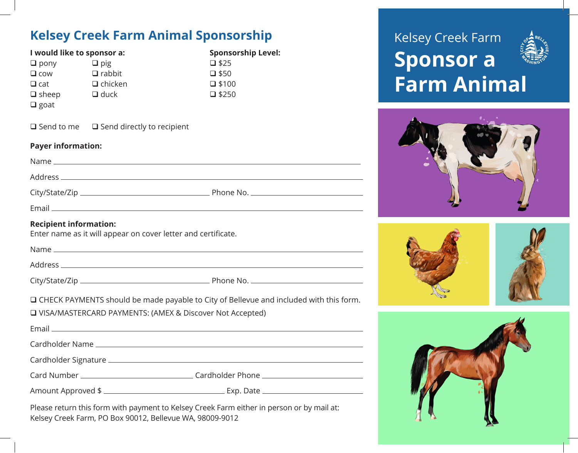# **Kelsey Creek Farm Animal Sponsorship**

| <u>Credit Farm Ammidd Sponsorsing</u>                                                                |                                                              |                                                                                                  |
|------------------------------------------------------------------------------------------------------|--------------------------------------------------------------|--------------------------------------------------------------------------------------------------|
| I would like to sponsor a:<br>$\Box$ pony<br>$\Box$ cow<br>$\Box$ cat<br>$\Box$ sheep<br>$\Box$ goat | $\Box$ pig<br>$\Box$ rabbit<br>$\Box$ chicken<br>$\Box$ duck | <b>Sponsorship Level:</b><br>$\square$ \$25<br>$\square$ \$50<br>$\square$ \$100<br>$\Box$ \$250 |
|                                                                                                      | $\Box$ Send to me $\Box$ Send directly to recipient          |                                                                                                  |
| <b>Payer information:</b>                                                                            |                                                              |                                                                                                  |
|                                                                                                      |                                                              |                                                                                                  |
|                                                                                                      |                                                              |                                                                                                  |
|                                                                                                      |                                                              |                                                                                                  |
|                                                                                                      |                                                              |                                                                                                  |
| <b>Recipient information:</b><br>Enter name as it will appear on cover letter and certificate.       |                                                              |                                                                                                  |
|                                                                                                      |                                                              |                                                                                                  |
|                                                                                                      |                                                              |                                                                                                  |
|                                                                                                      |                                                              |                                                                                                  |
|                                                                                                      | □ VISA/MASTERCARD PAYMENTS: (AMEX & Discover Not Accepted)   | □ CHECK PAYMENTS should be made payable to City of Bellevue and included with this form.         |
|                                                                                                      |                                                              |                                                                                                  |
|                                                                                                      |                                                              |                                                                                                  |
|                                                                                                      |                                                              | Card Number ___________________________________Cardholder Phone ________________                 |
|                                                                                                      |                                                              |                                                                                                  |
|                                                                                                      |                                                              |                                                                                                  |

Please return this form with payment to Kelsey Creek Farm either in person or by mail at: Kelsey Creek Farm, PO Box 90012, Bellevue WA, 98009-9012

# Kelsey Creek Farm **Sponsor a Farm Animal**